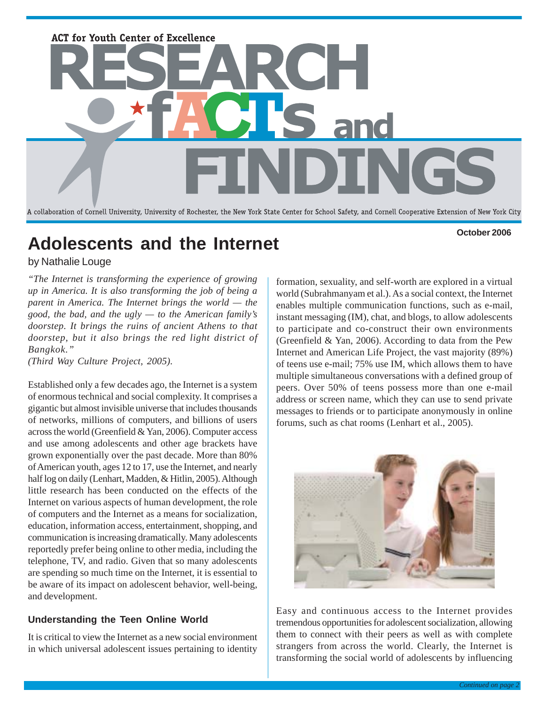

# **Adolescents and the Internet**

**October 2006**

## by Nathalie Louge

*"The Internet is transforming the experience of growing up in America. It is also transforming the job of being a parent in America. The Internet brings the world — the good, the bad, and the ugly — to the American family's doorstep. It brings the ruins of ancient Athens to that doorstep, but it also brings the red light district of Bangkok."*

*(Third Way Culture Project, 2005).*

Established only a few decades ago, the Internet is a system of enormous technical and social complexity. It comprises a gigantic but almost invisible universe that includes thousands of networks, millions of computers, and billions of users across the world (Greenfield & Yan, 2006). Computer access and use among adolescents and other age brackets have grown exponentially over the past decade. More than 80% of American youth, ages 12 to 17, use the Internet, and nearly half log on daily (Lenhart, Madden, & Hitlin, 2005). Although little research has been conducted on the effects of the Internet on various aspects of human development, the role of computers and the Internet as a means for socialization, education, information access, entertainment, shopping, and communication is increasing dramatically. Many adolescents reportedly prefer being online to other media, including the telephone, TV, and radio. Given that so many adolescents are spending so much time on the Internet, it is essential to be aware of its impact on adolescent behavior, well-being, and development.

## **Understanding the Teen Online World**

It is critical to view the Internet as a new social environment in which universal adolescent issues pertaining to identity

formation, sexuality, and self-worth are explored in a virtual world (Subrahmanyam et al.). As a social context, the Internet enables multiple communication functions, such as e-mail, instant messaging (IM), chat, and blogs, to allow adolescents to participate and co-construct their own environments (Greenfield & Yan, 2006). According to data from the Pew Internet and American Life Project, the vast majority (89%) of teens use e-mail; 75% use IM, which allows them to have multiple simultaneous conversations with a defined group of peers. Over 50% of teens possess more than one e-mail address or screen name, which they can use to send private messages to friends or to participate anonymously in online forums, such as chat rooms (Lenhart et al., 2005).



Easy and continuous access to the Internet provides tremendous opportunities for adolescent socialization, allowing them to connect with their peers as well as with complete strangers from across the world. Clearly, the Internet is transforming the social world of adolescents by influencing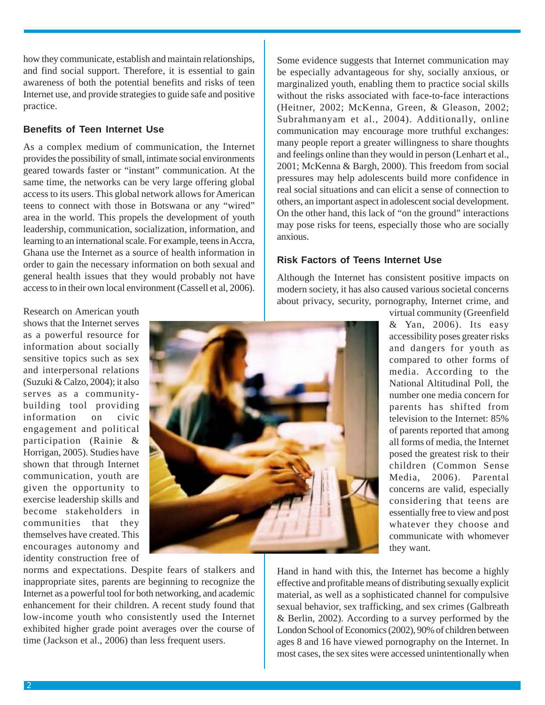how they communicate, establish and maintain relationships, and find social support. Therefore, it is essential to gain awareness of both the potential benefits and risks of teen Internet use, and provide strategies to guide safe and positive practice.

#### **Benefits of Teen Internet Use**

As a complex medium of communication, the Internet provides the possibility of small, intimate social environments geared towards faster or "instant" communication. At the same time, the networks can be very large offering global access to its users. This global network allows for American teens to connect with those in Botswana or any "wired" area in the world. This propels the development of youth leadership, communication, socialization, information, and learning to an international scale. For example, teens in Accra, Ghana use the Internet as a source of health information in order to gain the necessary information on both sexual and general health issues that they would probably not have access to in their own local environment (Cassell et al, 2006).

Some evidence suggests that Internet communication may be especially advantageous for shy, socially anxious, or marginalized youth, enabling them to practice social skills without the risks associated with face-to-face interactions (Heitner, 2002; McKenna, Green, & Gleason, 2002; Subrahmanyam et al., 2004). Additionally, online communication may encourage more truthful exchanges: many people report a greater willingness to share thoughts and feelings online than they would in person (Lenhart et al., 2001; McKenna & Bargh, 2000). This freedom from social pressures may help adolescents build more confidence in real social situations and can elicit a sense of connection to others, an important aspect in adolescent social development. On the other hand, this lack of "on the ground" interactions may pose risks for teens, especially those who are socially anxious.

### **Risk Factors of Teens Internet Use**

Although the Internet has consistent positive impacts on modern society, it has also caused various societal concerns about privacy, security, pornography, Internet crime, and virtual community (Greenfield

Research on American youth shows that the Internet serves as a powerful resource for information about socially sensitive topics such as sex and interpersonal relations (Suzuki & Calzo, 2004); it also serves as a communitybuilding tool providing information on civic engagement and political participation (Rainie & Horrigan, 2005). Studies have shown that through Internet communication, youth are given the opportunity to exercise leadership skills and become stakeholders in communities that they themselves have created. This encourages autonomy and identity construction free of



& Yan, 2006). Its easy accessibility poses greater risks and dangers for youth as compared to other forms of media. According to the National Altitudinal Poll, the number one media concern for parents has shifted from television to the Internet: 85% of parents reported that among all forms of media, the Internet posed the greatest risk to their children (Common Sense Media, 2006). Parental concerns are valid, especially considering that teens are essentially free to view and post whatever they choose and communicate with whomever they want.

norms and expectations. Despite fears of stalkers and inappropriate sites, parents are beginning to recognize the Internet as a powerful tool for both networking, and academic enhancement for their children. A recent study found that low-income youth who consistently used the Internet exhibited higher grade point averages over the course of time (Jackson et al., 2006) than less frequent users.

Hand in hand with this, the Internet has become a highly effective and profitable means of distributing sexually explicit material, as well as a sophisticated channel for compulsive sexual behavior, sex trafficking, and sex crimes (Galbreath & Berlin, 2002). According to a survey performed by the London School of Economics (2002), 90% of children between ages 8 and 16 have viewed pornography on the Internet. In most cases, the sex sites were accessed unintentionally when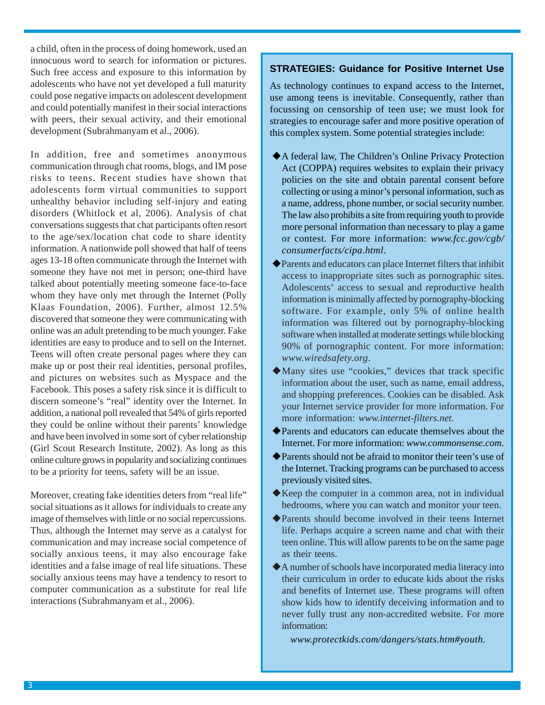a child, often in the process of doing homework, used an innocuous word to search for information or pictures. Such free access and exposure to this information by adolescents who have not yet developed a full maturity could pose negative impacts on adolescent development and could potentially manifest in their social interactions with peers, their sexual activity, and their emotional development (Subrahmanyam et al., 2006).

In addition, free and sometimes anonymous communication through chat rooms, blogs, and IM pose risks to teens. Recent studies have shown that adolescents form virtual communities to support unhealthy behavior including self-injury and eating disorders (Whitlock et al, 2006). Analysis of chat conversations suggests that chat participants often resort to the age/sex/location chat code to share identity information. A nationwide poll showed that half of teens ages 13-18 often communicate through the Internet with someone they have not met in person; one-third have talked about potentially meeting someone face-to-face whom they have only met through the Internet (Polly Klaas Foundation, 2006). Further, almost 12.5% discovered that someone they were communicating with online was an adult pretending to be much younger. Fake identities are easy to produce and to sell on the Internet. Teens will often create personal pages where they can make up or post their real identities, personal profiles, and pictures on websites such as Myspace and the Facebook. This poses a safety risk since it is difficult to discern someone's "real" identity over the Internet. In addition, a national poll revealed that 54% of girls reported they could be online without their parents' knowledge and have been involved in some sort of cyber relationship (Girl Scout Research Institute, 2002). As long as this online culture grows in popularity and socializing continues to be a priority for teens, safety will be an issue.

Moreover, creating fake identities deters from "real life" social situations as it allows for individuals to create any image of themselves with little or no social repercussions. Thus, although the Internet may serve as a catalyst for communication and may increase social competence of socially anxious teens, it may also encourage fake identities and a false image of real life situations. These socially anxious teens may have a tendency to resort to computer communication as a substitute for real life interactions (Subrahmanyam et al., 2006).

#### **STRATEGIES: Guidance for Positive Internet Use**

As technology continues to expand access to the Internet, use among teens is inevitable. Consequently, rather than focussing on censorship of teen use; we must look for strategies to encourage safer and more positive operation of this complex system. Some potential strategies include:

- A federal law, The Children's Online Privacy Protection Act (COPPA) requires websites to explain their privacy policies on the site and obtain parental consent before collecting or using a minor's personal information, such as a name, address, phone number, or social security number. The law also prohibits a site from requiring youth to provide more personal information than necessary to play a game or contest. For more information: *www.fcc.gov/cgb/ consumerfacts/cipa.html*.
- Parents and educators can place Internet filters that inhibit access to inappropriate sites such as pornographic sites. Adolescents' access to sexual and reproductive health information is minimally affected by pornography-blocking software. For example, only 5% of online health information was filtered out by pornography-blocking software when installed at moderate settings while blocking 90% of pornographic content. For more information: *www.wiredsafety.org*.
- Many sites use "cookies," devices that track specific information about the user, such as name, email address, and shopping preferences. Cookies can be disabled. Ask your Internet service provider for more information. For more information: *www.internet-filters.net*.
- Parents and educators can educate themselves about the Internet. For more information: *www.commonsense.com*.
- Parents should not be afraid to monitor their teen's use of the Internet. Tracking programs can be purchased to access previously visited sites.
- $\blacklozenge$  Keep the computer in a common area, not in individual bedrooms, where you can watch and monitor your teen.
- Parents should become involved in their teens Internet life. Perhaps acquire a screen name and chat with their teen online. This will allow parents to be on the same page as their teens.
- A number of schools have incorporated media literacy into their curriculum in order to educate kids about the risks and benefits of Internet use. These programs will often show kids how to identify deceiving information and to never fully trust any non-accredited website. For more information:

*www.protectkids.com/dangers/stats.htm#youth*.